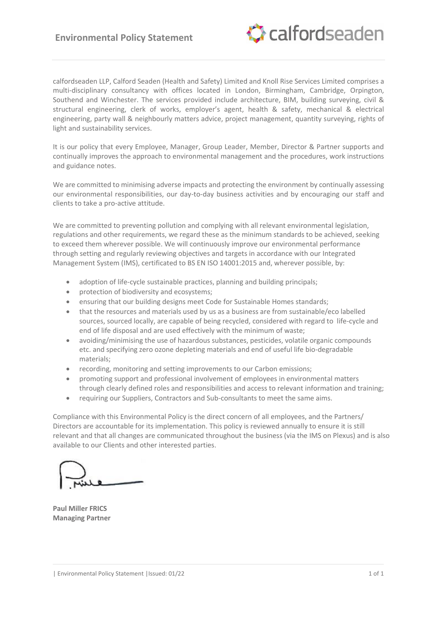

calfordseaden LLP, Calford Seaden (Health and Safety) Limited and Knoll Rise Services Limited comprises a multi-disciplinary consultancy with offices located in London, Birmingham, Cambridge, Orpington, Southend and Winchester. The services provided include architecture, BIM, building surveying, civil & structural engineering, clerk of works, employer's agent, health & safety, mechanical & electrical engineering, party wall & neighbourly matters advice, project management, quantity surveying, rights of light and sustainability services.

It is our policy that every Employee, Manager, Group Leader, Member, Director & Partner supports and continually improves the approach to environmental management and the procedures, work instructions and guidance notes.

We are committed to minimising adverse impacts and protecting the environment by continually assessing our environmental responsibilities, our day-to-day business activities and by encouraging our staff and clients to take a pro-active attitude.

We are committed to preventing pollution and complying with all relevant environmental legislation, regulations and other requirements, we regard these as the minimum standards to be achieved, seeking to exceed them wherever possible. We will continuously improve our environmental performance through setting and regularly reviewing objectives and targets in accordance with our Integrated Management System (IMS), certificated to BS EN ISO 14001:2015 and, wherever possible, by:

- adoption of life-cycle sustainable practices, planning and building principals;
- protection of biodiversity and ecosystems;
- ensuring that our building designs meet Code for Sustainable Homes standards;
- that the resources and materials used by us as a business are from sustainable/eco labelled sources, sourced locally, are capable of being recycled, considered with regard to life-cycle and end of life disposal and are used effectively with the minimum of waste;
- avoiding/minimising the use of hazardous substances, pesticides, volatile organic compounds etc. and specifying zero ozone depleting materials and end of useful life bio-degradable materials;
- recording, monitoring and setting improvements to our Carbon emissions;
- promoting support and professional involvement of employees in environmental matters through clearly defined roles and responsibilities and access to relevant information and training;
- requiring our Suppliers, Contractors and Sub-consultants to meet the same aims.

Compliance with this Environmental Policy is the direct concern of all employees, and the Partners/ Directors are accountable for its implementation. This policy is reviewed annually to ensure it is still relevant and that all changes are communicated throughout the business (via the IMS on Plexus) and is also available to our Clients and other interested parties.

**Paul Miller FRICS Managing Partner**